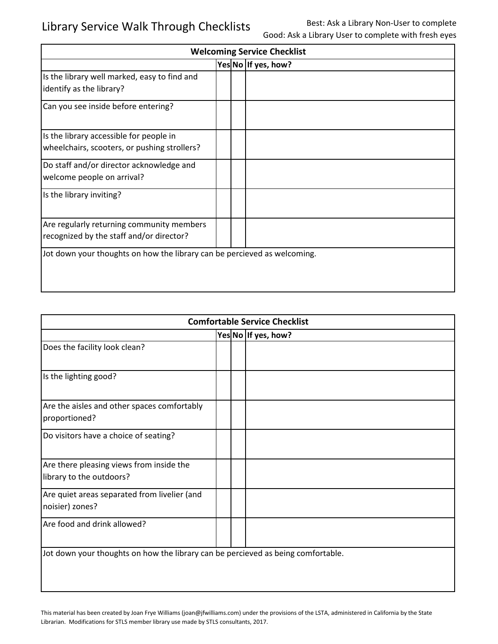| <b>Welcoming Service Checklist</b>                                                      |  |  |                     |
|-----------------------------------------------------------------------------------------|--|--|---------------------|
|                                                                                         |  |  | Yes No If yes, how? |
| Is the library well marked, easy to find and<br>identify as the library?                |  |  |                     |
| Can you see inside before entering?                                                     |  |  |                     |
| Is the library accessible for people in<br>wheelchairs, scooters, or pushing strollers? |  |  |                     |
| Do staff and/or director acknowledge and<br>welcome people on arrival?                  |  |  |                     |
| Is the library inviting?                                                                |  |  |                     |
| Are regularly returning community members<br>recognized by the staff and/or director?   |  |  |                     |
| Jot down your thoughts on how the library can be percieved as welcoming.                |  |  |                     |

| <b>Comfortable Service Checklist</b>                                             |  |  |                     |
|----------------------------------------------------------------------------------|--|--|---------------------|
|                                                                                  |  |  | Yes No If yes, how? |
| Does the facility look clean?                                                    |  |  |                     |
| Is the lighting good?                                                            |  |  |                     |
| Are the aisles and other spaces comfortably<br>proportioned?                     |  |  |                     |
| Do visitors have a choice of seating?                                            |  |  |                     |
| Are there pleasing views from inside the<br>library to the outdoors?             |  |  |                     |
| Are quiet areas separated from livelier (and<br>noisier) zones?                  |  |  |                     |
| Are food and drink allowed?                                                      |  |  |                     |
| Jot down your thoughts on how the library can be percieved as being comfortable. |  |  |                     |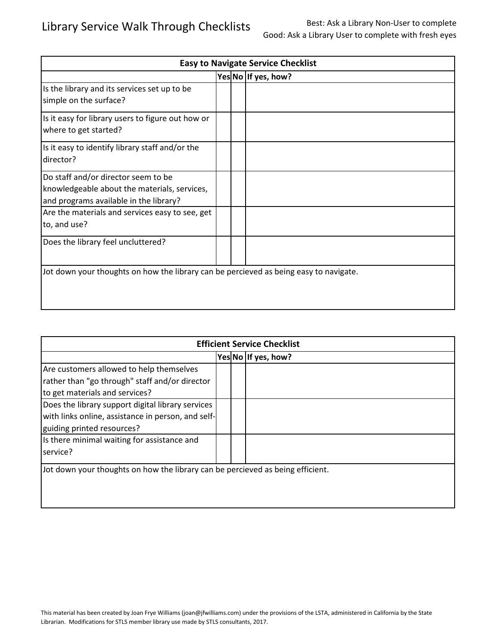| <b>Easy to Navigate Service Checklist</b>                                                                                     |  |  |                     |
|-------------------------------------------------------------------------------------------------------------------------------|--|--|---------------------|
|                                                                                                                               |  |  | Yes No If yes, how? |
| Is the library and its services set up to be<br>simple on the surface?                                                        |  |  |                     |
| Is it easy for library users to figure out how or<br>where to get started?                                                    |  |  |                     |
| Is it easy to identify library staff and/or the<br>director?                                                                  |  |  |                     |
| Do staff and/or director seem to be<br>knowledgeable about the materials, services,<br>and programs available in the library? |  |  |                     |
| Are the materials and services easy to see, get<br>to, and use?                                                               |  |  |                     |
| Does the library feel uncluttered?                                                                                            |  |  |                     |
| Jot down your thoughts on how the library can be percieved as being easy to navigate.                                         |  |  |                     |

| <b>Efficient Service Checklist</b>                                             |  |  |                     |  |
|--------------------------------------------------------------------------------|--|--|---------------------|--|
|                                                                                |  |  | Yes No If yes, how? |  |
| Are customers allowed to help themselves                                       |  |  |                     |  |
| rather than "go through" staff and/or director                                 |  |  |                     |  |
| to get materials and services?                                                 |  |  |                     |  |
| Does the library support digital library services                              |  |  |                     |  |
| with links online, assistance in person, and self-                             |  |  |                     |  |
| guiding printed resources?                                                     |  |  |                     |  |
| Is there minimal waiting for assistance and                                    |  |  |                     |  |
| service?                                                                       |  |  |                     |  |
| Jot down your thoughts on how the library can be percieved as being efficient. |  |  |                     |  |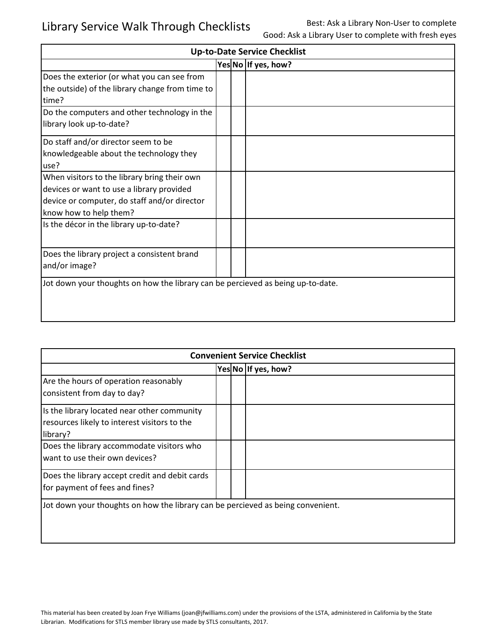| <b>Up-to-Date Service Checklist</b>                                                                                                                                 |  |  |                     |
|---------------------------------------------------------------------------------------------------------------------------------------------------------------------|--|--|---------------------|
|                                                                                                                                                                     |  |  | Yes No If yes, how? |
| Does the exterior (or what you can see from<br>the outside) of the library change from time to<br>time?                                                             |  |  |                     |
| Do the computers and other technology in the<br>library look up-to-date?                                                                                            |  |  |                     |
| Do staff and/or director seem to be<br>knowledgeable about the technology they<br>use?                                                                              |  |  |                     |
| When visitors to the library bring their own<br>devices or want to use a library provided<br>device or computer, do staff and/or director<br>know how to help them? |  |  |                     |
| Is the décor in the library up-to-date?                                                                                                                             |  |  |                     |
| Does the library project a consistent brand<br>and/or image?                                                                                                        |  |  |                     |
| Jot down your thoughts on how the library can be percieved as being up-to-date.                                                                                     |  |  |                     |

| <b>Convenient Service Checklist</b>                                                                     |  |  |                     |
|---------------------------------------------------------------------------------------------------------|--|--|---------------------|
|                                                                                                         |  |  | Yes No If yes, how? |
| Are the hours of operation reasonably<br>consistent from day to day?                                    |  |  |                     |
| Is the library located near other community<br>resources likely to interest visitors to the<br>library? |  |  |                     |
| Does the library accommodate visitors who<br>want to use their own devices?                             |  |  |                     |
| Does the library accept credit and debit cards<br>for payment of fees and fines?                        |  |  |                     |
| Jot down your thoughts on how the library can be percieved as being convenient.                         |  |  |                     |